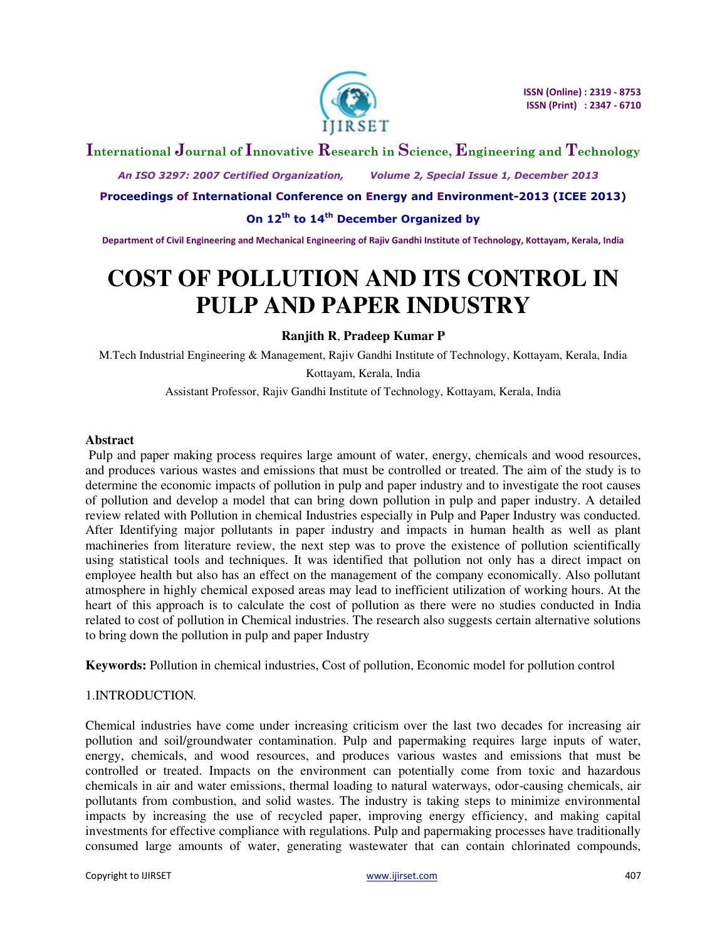

# **International Journal of Innovative Research in Science, Engineering and Technology**

 *An ISO 3297: 2007 Certified Organization, Volume 2, Special Issue 1, December 2013* 

**Proceedings of International Conference on Energy and Environment-2013 (ICEE 2013)** 

**On 12th to 14th December Organized by** 

**Department of Civil Engineering and Mechanical Engineering of Rajiv Gandhi Institute of Technology, Kottayam, Kerala, India** 

# **COST OF POLLUTION AND ITS CONTROL IN PULP AND PAPER INDUSTRY**

 **Ranjith R**, **Pradeep Kumar P** 

M.Tech Industrial Engineering & Management, Rajiv Gandhi Institute of Technology, Kottayam, Kerala, India Kottayam, Kerala, India

Assistant Professor, Rajiv Gandhi Institute of Technology, Kottayam, Kerala, India

#### **Abstract**

 Pulp and paper making process requires large amount of water, energy, chemicals and wood resources, and produces various wastes and emissions that must be controlled or treated. The aim of the study is to determine the economic impacts of pollution in pulp and paper industry and to investigate the root causes of pollution and develop a model that can bring down pollution in pulp and paper industry. A detailed review related with Pollution in chemical Industries especially in Pulp and Paper Industry was conducted. After Identifying major pollutants in paper industry and impacts in human health as well as plant machineries from literature review, the next step was to prove the existence of pollution scientifically using statistical tools and techniques. It was identified that pollution not only has a direct impact on employee health but also has an effect on the management of the company economically. Also pollutant atmosphere in highly chemical exposed areas may lead to inefficient utilization of working hours. At the heart of this approach is to calculate the cost of pollution as there were no studies conducted in India related to cost of pollution in Chemical industries. The research also suggests certain alternative solutions to bring down the pollution in pulp and paper Industry

**Keywords:** Pollution in chemical industries, Cost of pollution, Economic model for pollution control

# 1.INTRODUCTION*.*

Chemical industries have come under increasing criticism over the last two decades for increasing air pollution and soil/groundwater contamination. Pulp and papermaking requires large inputs of water, energy, chemicals, and wood resources, and produces various wastes and emissions that must be controlled or treated. Impacts on the environment can potentially come from toxic and hazardous chemicals in air and water emissions, thermal loading to natural waterways, odor-causing chemicals, air pollutants from combustion, and solid wastes. The industry is taking steps to minimize environmental impacts by increasing the use of recycled paper, improving energy efficiency, and making capital investments for effective compliance with regulations. Pulp and papermaking processes have traditionally consumed large amounts of water, generating wastewater that can contain chlorinated compounds,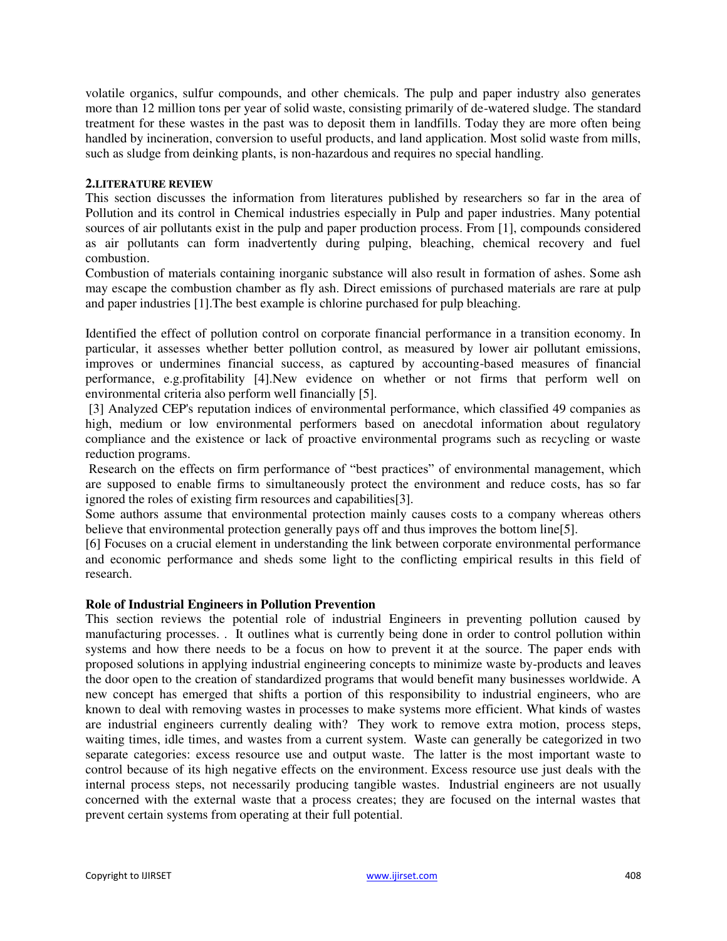volatile organics, sulfur compounds, and other chemicals. The pulp and paper industry also generates more than 12 million tons per year of solid waste, consisting primarily of de-watered sludge. The standard treatment for these wastes in the past was to deposit them in landfills. Today they are more often being handled by incineration, conversion to useful products, and land application. Most solid waste from mills, such as sludge from deinking plants, is non-hazardous and requires no special handling.

#### **2.LITERATURE REVIEW**

This section discusses the information from literatures published by researchers so far in the area of Pollution and its control in Chemical industries especially in Pulp and paper industries. Many potential sources of air pollutants exist in the pulp and paper production process. From [1], compounds considered as air pollutants can form inadvertently during pulping, bleaching, chemical recovery and fuel combustion.

Combustion of materials containing inorganic substance will also result in formation of ashes. Some ash may escape the combustion chamber as fly ash. Direct emissions of purchased materials are rare at pulp and paper industries [1].The best example is chlorine purchased for pulp bleaching.

Identified the effect of pollution control on corporate financial performance in a transition economy. In particular, it assesses whether better pollution control, as measured by lower air pollutant emissions, improves or undermines financial success, as captured by accounting-based measures of financial performance, e.g.profitability [4].New evidence on whether or not firms that perform well on environmental criteria also perform well financially [5].

 [3] Analyzed CEP's reputation indices of environmental performance, which classified 49 companies as high, medium or low environmental performers based on anecdotal information about regulatory compliance and the existence or lack of proactive environmental programs such as recycling or waste reduction programs.

Research on the effects on firm performance of "best practices" of environmental management, which are supposed to enable firms to simultaneously protect the environment and reduce costs, has so far ignored the roles of existing firm resources and capabilities[3].

Some authors assume that environmental protection mainly causes costs to a company whereas others believe that environmental protection generally pays off and thus improves the bottom line[5].

[6] Focuses on a crucial element in understanding the link between corporate environmental performance and economic performance and sheds some light to the conflicting empirical results in this field of research.

# **Role of Industrial Engineers in Pollution Prevention**

This section reviews the potential role of industrial Engineers in preventing pollution caused by manufacturing processes. . It outlines what is currently being done in order to control pollution within systems and how there needs to be a focus on how to prevent it at the source. The paper ends with proposed solutions in applying industrial engineering concepts to minimize waste by-products and leaves the door open to the creation of standardized programs that would benefit many businesses worldwide. A new concept has emerged that shifts a portion of this responsibility to industrial engineers, who are known to deal with removing wastes in processes to make systems more efficient. What kinds of wastes are industrial engineers currently dealing with? They work to remove extra motion, process steps, waiting times, idle times, and wastes from a current system. Waste can generally be categorized in two separate categories: excess resource use and output waste. The latter is the most important waste to control because of its high negative effects on the environment. Excess resource use just deals with the internal process steps, not necessarily producing tangible wastes. Industrial engineers are not usually concerned with the external waste that a process creates; they are focused on the internal wastes that prevent certain systems from operating at their full potential.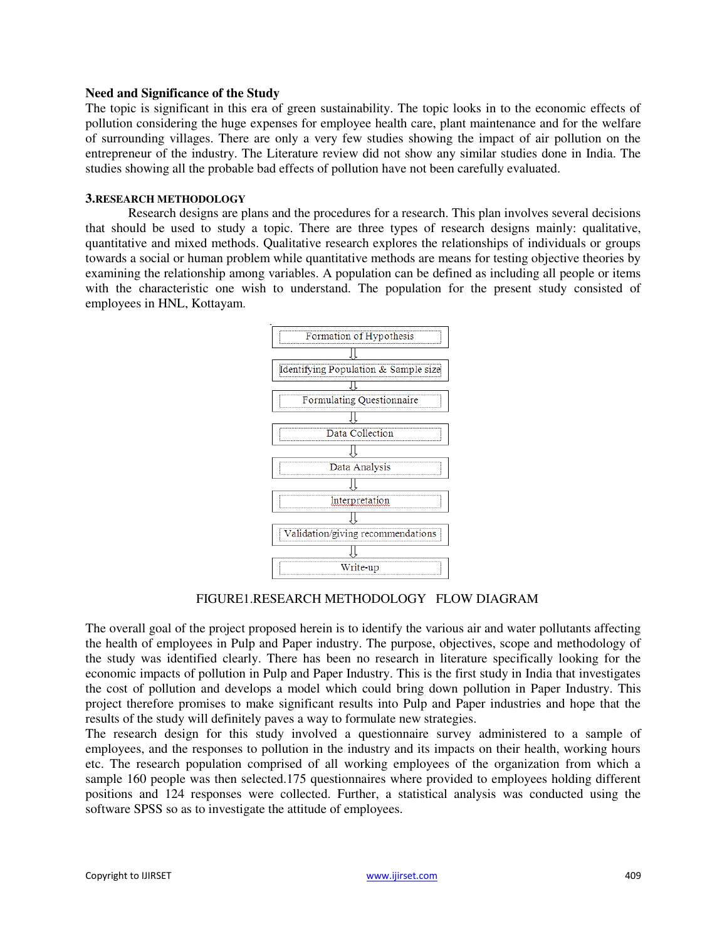#### **Need and Significance of the Study**

The topic is significant in this era of green sustainability. The topic looks in to the economic effects of pollution considering the huge expenses for employee health care, plant maintenance and for the welfare of surrounding villages. There are only a very few studies showing the impact of air pollution on the entrepreneur of the industry. The Literature review did not show any similar studies done in India. The studies showing all the probable bad effects of pollution have not been carefully evaluated.

#### **3.RESEARCH METHODOLOGY**

Research designs are plans and the procedures for a research. This plan involves several decisions that should be used to study a topic. There are three types of research designs mainly: qualitative, quantitative and mixed methods. Qualitative research explores the relationships of individuals or groups towards a social or human problem while quantitative methods are means for testing objective theories by examining the relationship among variables. A population can be defined as including all people or items with the characteristic one wish to understand. The population for the present study consisted of employees in HNL, Kottayam.



FIGURE1.RESEARCH METHODOLOGY FLOW DIAGRAM

The overall goal of the project proposed herein is to identify the various air and water pollutants affecting the health of employees in Pulp and Paper industry. The purpose, objectives, scope and methodology of the study was identified clearly. There has been no research in literature specifically looking for the economic impacts of pollution in Pulp and Paper Industry. This is the first study in India that investigates the cost of pollution and develops a model which could bring down pollution in Paper Industry. This project therefore promises to make significant results into Pulp and Paper industries and hope that the results of the study will definitely paves a way to formulate new strategies.

The research design for this study involved a questionnaire survey administered to a sample of employees, and the responses to pollution in the industry and its impacts on their health, working hours etc. The research population comprised of all working employees of the organization from which a sample 160 people was then selected.175 questionnaires where provided to employees holding different positions and 124 responses were collected. Further, a statistical analysis was conducted using the software SPSS so as to investigate the attitude of employees.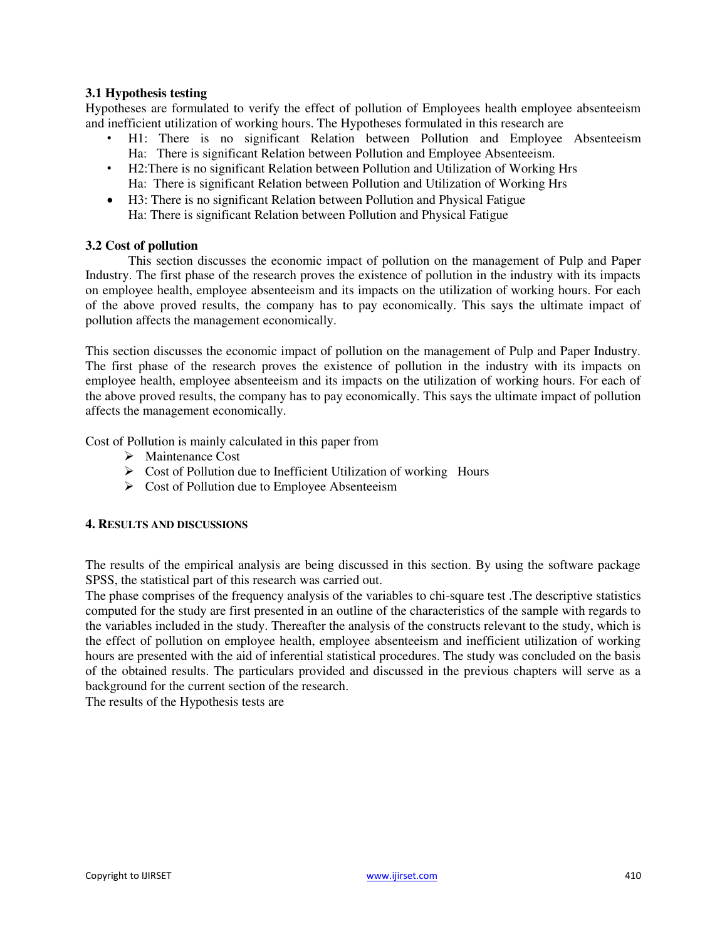# **3.1 Hypothesis testing**

Hypotheses are formulated to verify the effect of pollution of Employees health employee absenteeism and inefficient utilization of working hours. The Hypotheses formulated in this research are

- H1: There is no significant Relation between Pollution and Employee Absenteeism Ha: There is significant Relation between Pollution and Employee Absenteeism.
- H2:There is no significant Relation between Pollution and Utilization of Working Hrs Ha: There is significant Relation between Pollution and Utilization of Working Hrs
- H3: There is no significant Relation between Pollution and Physical Fatigue Ha: There is significant Relation between Pollution and Physical Fatigue

#### **3.2 Cost of pollution**

This section discusses the economic impact of pollution on the management of Pulp and Paper Industry. The first phase of the research proves the existence of pollution in the industry with its impacts on employee health, employee absenteeism and its impacts on the utilization of working hours. For each of the above proved results, the company has to pay economically. This says the ultimate impact of pollution affects the management economically.

This section discusses the economic impact of pollution on the management of Pulp and Paper Industry. The first phase of the research proves the existence of pollution in the industry with its impacts on employee health, employee absenteeism and its impacts on the utilization of working hours. For each of the above proved results, the company has to pay economically. This says the ultimate impact of pollution affects the management economically.

Cost of Pollution is mainly calculated in this paper from

- $\triangleright$  Maintenance Cost
- $\triangleright$  Cost of Pollution due to Inefficient Utilization of working Hours
- $\triangleright$  Cost of Pollution due to Employee Absenteeism

#### **4. RESULTS AND DISCUSSIONS**

The results of the empirical analysis are being discussed in this section. By using the software package SPSS, the statistical part of this research was carried out.

The phase comprises of the frequency analysis of the variables to chi-square test .The descriptive statistics computed for the study are first presented in an outline of the characteristics of the sample with regards to the variables included in the study. Thereafter the analysis of the constructs relevant to the study, which is the effect of pollution on employee health, employee absenteeism and inefficient utilization of working hours are presented with the aid of inferential statistical procedures. The study was concluded on the basis of the obtained results. The particulars provided and discussed in the previous chapters will serve as a background for the current section of the research.

The results of the Hypothesis tests are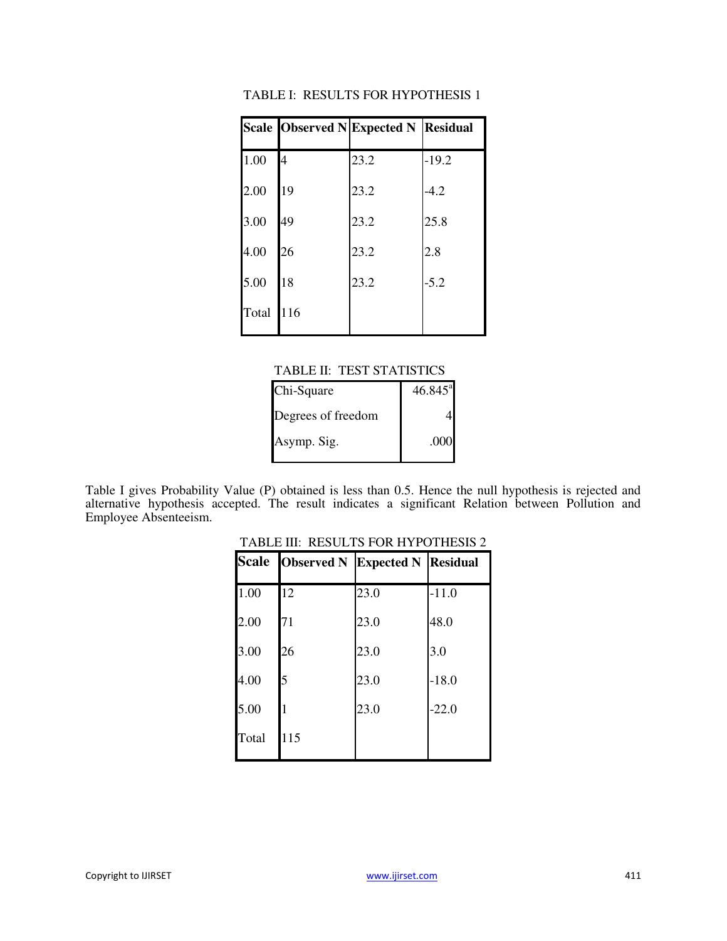|       |     | Scale Observed N Expected N Residual |         |
|-------|-----|--------------------------------------|---------|
| 1.00  | 4   | 23.2                                 | $-19.2$ |
| 2.00  | 19  | 23.2                                 | $-4.2$  |
| 3.00  | 49  | 23.2                                 | 25.8    |
| 4.00  | 26  | 23.2                                 | 2.8     |
| 5.00  | 18  | 23.2                                 | $-5.2$  |
| Total | 116 |                                      |         |

### TABLE I: RESULTS FOR HYPOTHESIS 1

#### TABLE II: TEST STATISTICS

| Chi-Square         | $46.845^{\circ}$ |
|--------------------|------------------|
| Degrees of freedom |                  |
| Asymp. Sig.        | .000             |

Table I gives Probability Value (P) obtained is less than 0.5. Hence the null hypothesis is rejected and alternative hypothesis accepted. The result indicates a significant Relation between Pollution and Employee Absenteeism.

|       | Scale Observed N | <b>Expected N Residual</b> |         |
|-------|------------------|----------------------------|---------|
| 1.00  | 12               | 23.0                       | $-11.0$ |
| 2.00  | 71               | 23.0                       | 48.0    |
| 3.00  | 26               | 23.0                       | 3.0     |
| 4.00  | 5                | 23.0                       | $-18.0$ |
| 5.00  | 1                | 23.0                       | $-22.0$ |
| Total | 115              |                            |         |

# TABLE III: RESULTS FOR HYPOTHESIS 2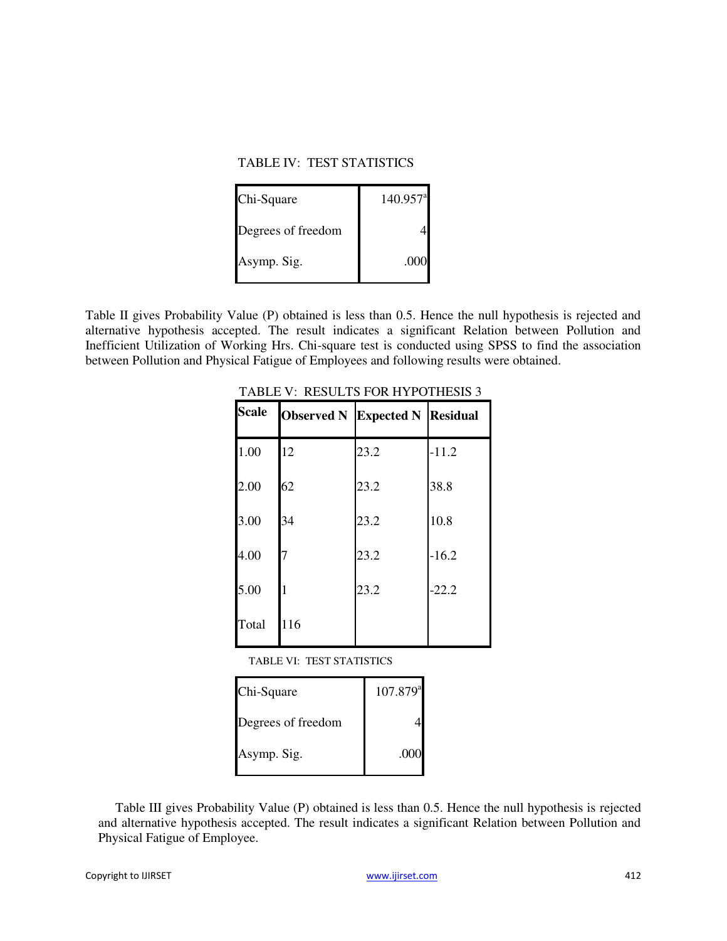#### TABLE IV: TEST STATISTICS

| Chi-Square         | $140.957$ <sup>a</sup> |
|--------------------|------------------------|
| Degrees of freedom |                        |
| Asymp. Sig.        | .000                   |

Table II gives Probability Value (P) obtained is less than 0.5. Hence the null hypothesis is rejected and alternative hypothesis accepted. The result indicates a significant Relation between Pollution and Inefficient Utilization of Working Hrs. Chi-square test is conducted using SPSS to find the association between Pollution and Physical Fatigue of Employees and following results were obtained.

| <b>Scale</b> | <b>Observed N Expected N Residual</b> |      |         |
|--------------|---------------------------------------|------|---------|
| 1.00         | 12                                    | 23.2 | $-11.2$ |
| 2.00         | 62                                    | 23.2 | 38.8    |
| 3.00         | 34                                    | 23.2 | 10.8    |
| 4.00         | 7                                     | 23.2 | $-16.2$ |
| 5.00         | 1                                     | 23.2 | $-22.2$ |
| Total        | 116                                   |      |         |

TABLE V: RESULTS FOR HYPOTHESIS 3

TABLE VI: TEST STATISTICS

| Chi-Square         | $107.879$ <sup>a</sup> |
|--------------------|------------------------|
| Degrees of freedom |                        |
| Asymp. Sig.        | .000                   |

Table III gives Probability Value (P) obtained is less than 0.5. Hence the null hypothesis is rejected and alternative hypothesis accepted. The result indicates a significant Relation between Pollution and Physical Fatigue of Employee.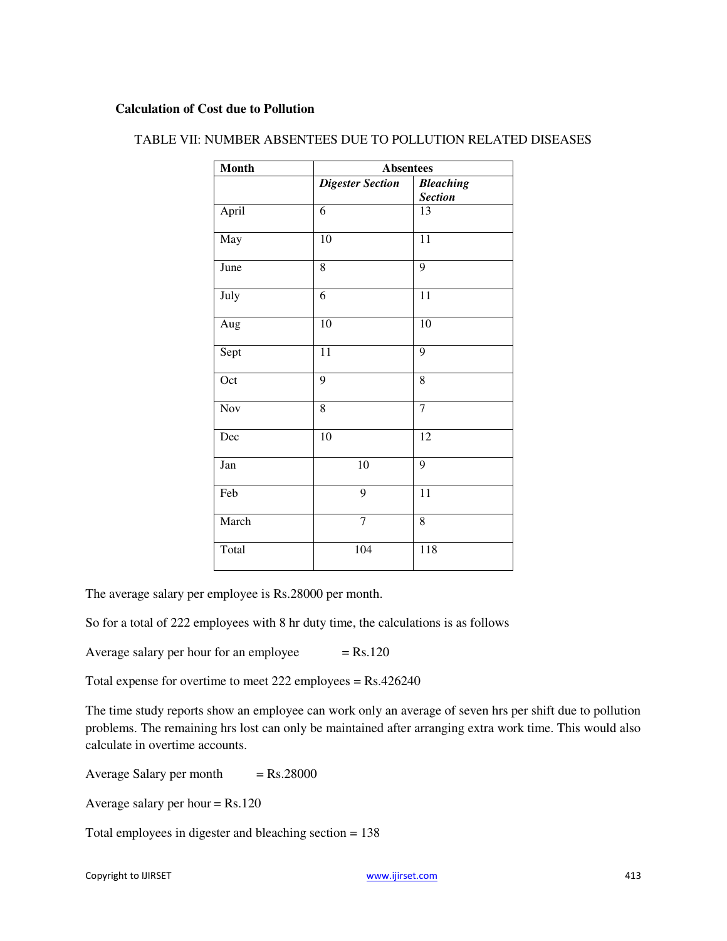### **Calculation of Cost due to Pollution**

| <b>Month</b> | <b>Absentees</b>        |                  |
|--------------|-------------------------|------------------|
|              | <b>Digester Section</b> | <b>Bleaching</b> |
|              |                         | <b>Section</b>   |
| April        | 6                       | 13               |
| May          | 10                      | 11               |
| June         | 8                       | 9                |
| July         | 6                       | 11               |
| Aug          | 10                      | 10               |
| Sept         | $\overline{11}$         | 9                |
| Oct          | 9                       | 8                |
| Nov          | 8                       | $\overline{7}$   |
| Dec          | 10                      | 12               |
| Jan          | 10                      | 9                |
| Feb          | 9                       | 11               |
| March        | $\overline{7}$          | 8                |
| Total        | 104                     | 118              |

# TABLE VII: NUMBER ABSENTEES DUE TO POLLUTION RELATED DISEASES

The average salary per employee is Rs.28000 per month.

So for a total of 222 employees with 8 hr duty time, the calculations is as follows

Average salary per hour for an employee  $=$  Rs.120

Total expense for overtime to meet 222 employees = Rs.426240

The time study reports show an employee can work only an average of seven hrs per shift due to pollution problems. The remaining hrs lost can only be maintained after arranging extra work time. This would also calculate in overtime accounts.

Average Salary per month  $=$  Rs.28000

Average salary per hour  $=$  Rs.120

Total employees in digester and bleaching section = 138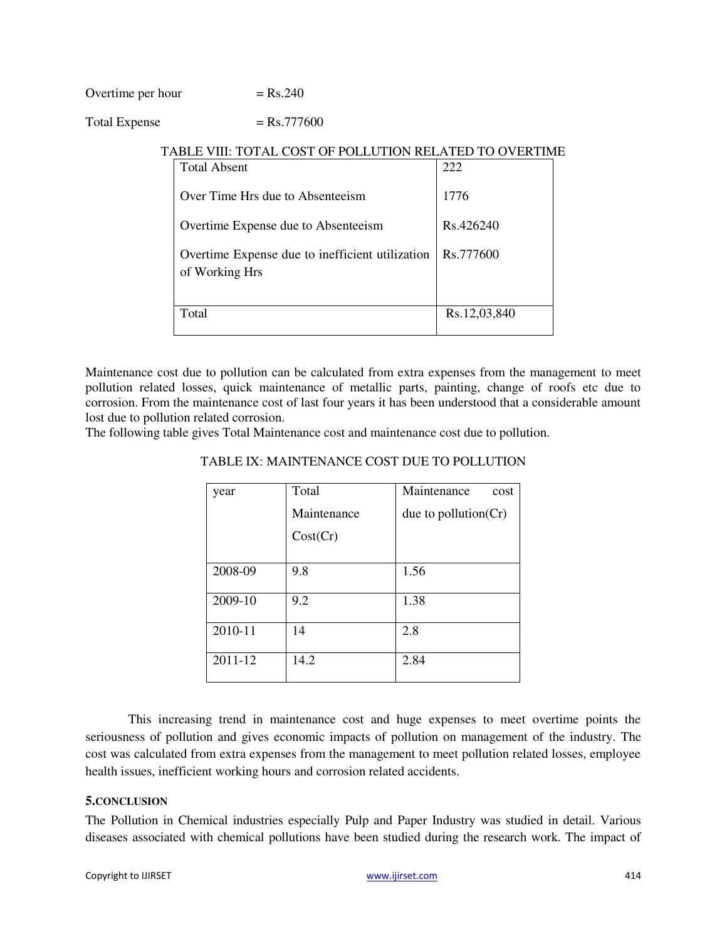Overtime per hour

$$
= Rs.240
$$

# Total Expense  $=$  Rs.777600

| ADLE VIII. TVI AL COOL VI TVLEVI IVA NELATED TV VYENTIMI<br><b>Total Absent</b> | 222          |
|---------------------------------------------------------------------------------|--------------|
| Over Time Hrs due to Absenteeism                                                | 1776         |
| Overtime Expense due to Absenteeism                                             | Rs.426240    |
| Overtime Expense due to inefficient utilization<br>of Working Hrs               | Rs.777600    |
| Total                                                                           | Rs.12,03,840 |

# TABLE VIII: TOTAL COST OF POLLUTION RELATED TO OVERTIME

Maintenance cost due to pollution can be calculated from extra expenses from the management to meet pollution related losses, quick maintenance of metallic parts, painting, change of roofs etc due to corrosion. From the maintenance cost of last four years it has been understood that a considerable amount lost due to pollution related corrosion.

The following table gives Total Maintenance cost and maintenance cost due to pollution.

| year    | Total       | Maintenance<br>cost     |
|---------|-------------|-------------------------|
|         | Maintenance | due to pollution $(Cr)$ |
|         | Cost(Cr)    |                         |
|         |             |                         |
| 2008-09 | 9.8         | 1.56                    |
| 2009-10 | 9.2         | 1.38                    |
| 2010-11 | 14          | 2.8                     |
| 2011-12 | 14.2        | 2.84                    |

#### TABLE IX: MAINTENANCE COST DUE TO POLLUTION

This increasing trend in maintenance cost and huge expenses to meet overtime points the seriousness of pollution and gives economic impacts of pollution on management of the industry. The cost was calculated from extra expenses from the management to meet pollution related losses, employee health issues, inefficient working hours and corrosion related accidents.

# **5.CONCLUSION**

The Pollution in Chemical industries especially Pulp and Paper Industry was studied in detail. Various diseases associated with chemical pollutions have been studied during the research work. The impact of